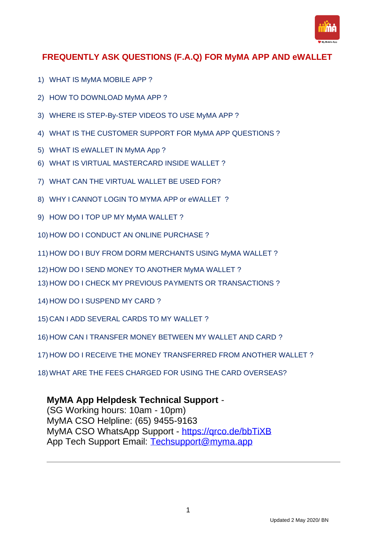

# **FREQUENTLY ASK QUESTIONS (F.A.Q) FOR MyMA APP AND eWALLET**

- 1) WHAT IS MyMA MOBILE APP ?
- 2) HOW TO DOWNLOAD MyMA APP ?
- 3) WHERE IS STEP-By-STEP VIDEOS TO USE MyMA APP ?
- 4) WHAT IS THE CUSTOMER SUPPORT FOR MyMA APP QUESTIONS ?
- 5) WHAT IS eWALLET IN MyMA App ?
- 6) WHAT IS VIRTUAL MASTERCARD INSIDE WALLET ?
- 7) WHAT CAN THE VIRTUAL WALLET BE USED FOR?
- 8) WHY I CANNOT LOGIN TO MYMA APP or eWALLET ?
- 9) HOW DO I TOP UP MY MyMA WALLET ?
- 10) HOW DO I CONDUCT AN ONLINE PURCHASE ?
- 11) HOW DO I BUY FROM DORM MERCHANTS USING MyMA WALLET ?
- 12) HOW DO I SEND MONEY TO ANOTHER MyMA WALLET ?
- 13) HOW DO I CHECK MY PREVIOUS PAYMENTS OR TRANSACTIONS ?
- 14) HOW DO I SUSPEND MY CARD ?
- 15) CAN I ADD SEVERAL CARDS TO MY WALLET ?
- 16) HOW CAN I TRANSFER MONEY BETWEEN MY WALLET AND CARD ?
- 17) HOW DO I RECEIVE THE MONEY TRANSFERRED FROM ANOTHER WALLET ?
- 18) WHAT ARE THE FEES CHARGED FOR USING THE CARD OVERSEAS?

### **MyMA App Helpdesk Technical Support** -

(SG Working hours: 10am - 10pm) MyMA CSO Helpline: (65) 9455-9163 MyMA CSO WhatsApp Support - <https://qrco.de/bbTiXB> App Tech Support Email: [Techsupport@myma.app](mailto:Techsupport@myma.app)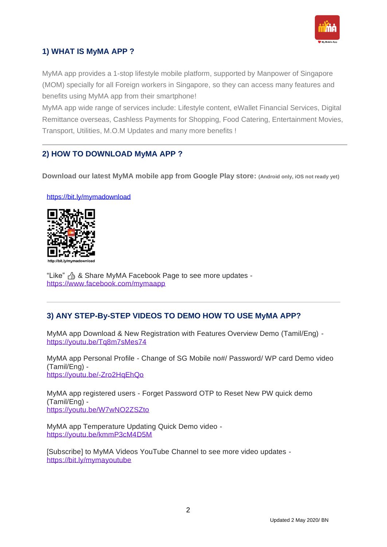

### **1) WHAT IS MyMA APP ?**

MyMA app provides a 1-stop lifestyle mobile platform, supported by Manpower of Singapore (MOM) specially for all Foreign workers in Singapore, so they can access many features and benefits using MyMA app from their smartphone!

MyMA app wide range of services include: Lifestyle content, eWallet Financial Services, Digital Remittance overseas, Cashless Payments for Shopping, Food Catering, Entertainment Movies, Transport, Utilities, M.O.M Updates and many more benefits !

### **2) HOW TO DOWNLOAD MyMA APP ?**

**Download our latest MyMA mobile app from Google Play store: (Android only, iOS not ready yet)**

<https://bit.ly/mymadownload>



"Like" & Share MyMA Facebook Page to see more updates <https://www.facebook.com/mymaapp>

# **3) ANY STEP-By-STEP VIDEOS TO DEMO HOW TO USE MyMA APP?**

MyMA app Download & New Registration with Features Overview Demo (Tamil/Eng) <https://youtu.be/Tq8m7sMes74>

MyMA app Personal Profile - Change of SG Mobile no#/ Password/ WP card Demo video (Tamil/Eng) <https://youtu.be/-Zro2HqEhQo>

MyMA app registered users - Forget Password OTP to Reset New PW quick demo (Tamil/Eng) <https://youtu.be/W7wNO2ZSZto>

MyMA app Temperature Updating Quick Demo video <https://youtu.be/kmmP3cM4D5M>

[Subscribe] to MyMA Videos YouTube Channel to see more video updates <https://bit.ly/mymayoutube>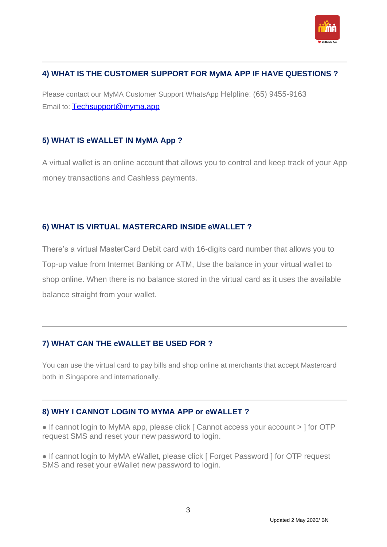

# **4) WHAT IS THE CUSTOMER SUPPORT FOR MyMA APP IF HAVE QUESTIONS ?**

Please contact our MyMA Customer Support WhatsApp Helpline: (65) 9455-9163 Email to: [Techsupport@myma.app](mailto:Techsupport@myma.app)

#### **5) WHAT IS eWALLET IN MyMA App ?**

A virtual wallet is an online account that allows you to control and keep track of your App money transactions and Cashless payments.

### **6) WHAT IS VIRTUAL MASTERCARD INSIDE eWALLET ?**

There's a virtual MasterCard Debit card with 16-digits card number that allows you to Top-up value from Internet Banking or ATM, Use the balance in your virtual wallet to shop online. When there is no balance stored in the virtual card as it uses the available balance straight from your wallet.

# **7) WHAT CAN THE eWALLET BE USED FOR ?**

You can use the virtual card to pay bills and shop online at merchants that accept Mastercard both in Singapore and internationally.

### **8) WHY I CANNOT LOGIN TO MYMA APP or eWALLET ?**

● If cannot login to MyMA app, please click [ Cannot access your account > ] for OTP request SMS and reset your new password to login.

● If cannot login to MyMA eWallet, please click [ Forget Password ] for OTP request SMS and reset your eWallet new password to login.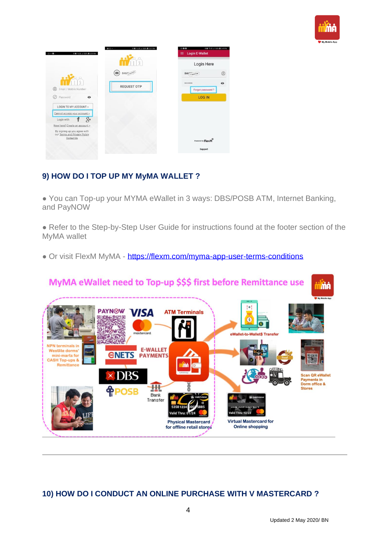

|                                                              | 本面 宅加,d100% 自3:31 PM<br>$20 - -$ | 022                               | ※日 宅.加.4100% ■2:49 PM |
|--------------------------------------------------------------|----------------------------------|-----------------------------------|-----------------------|
| 名誉 电动, 4100% 自 3:29 PM<br>$\Box \cdots \Box$                 |                                  | <b>Login E-Wallet</b><br>$\equiv$ |                       |
|                                                              |                                  | Login Here                        |                       |
|                                                              | 医<br>846%                        | 846 a sucuron                     | $^{\circ}$            |
| $^{\circ}$<br>Email / Mobile Number                          | <b>REQUEST OTP</b>               |                                   | $\bullet$             |
| Password<br>$\bullet$<br>O                                   |                                  | Forgot password?<br><b>LOG IN</b> |                       |
| LOGIN TO MY ACCOUNT >                                        |                                  |                                   |                       |
| Cannot access your account >                                 |                                  |                                   |                       |
| $R_{+}$<br>Login with                                        |                                  |                                   |                       |
| New here? Create an account >                                |                                  |                                   |                       |
| By signing up you agree with<br>our Terms and Privacy Policy |                                  |                                   |                       |
| Contact Us                                                   |                                  | Powered by FLexCM                 |                       |
|                                                              |                                  |                                   |                       |

# **9) HOW DO I TOP UP MY MyMA WALLET ?**

● You can Top-up your MYMA eWallet in 3 ways: DBS/POSB ATM, Internet Banking, and PayNOW

• Refer to the Step-by-Step User Guide for instructions found at the footer section of the MyMA wallet

• Or visit FlexM MyMA - <https://flexm.com/myma-app-user-terms-conditions>



# **10) HOW DO I CONDUCT AN ONLINE PURCHASE WITH V MASTERCARD ?**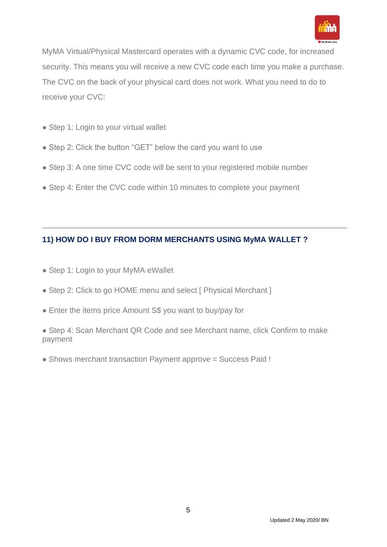

MyMA Virtual/Physical Mastercard operates with a dynamic CVC code, for increased security. This means you will receive a new CVC code each time you make a purchase. The CVC on the back of your physical card does not work. What you need to do to receive your CVC:

- Step 1: Login to your virtual wallet
- Step 2: Click the button "GET" below the card you want to use
- Step 3: A one time CVC code will be sent to your registered mobile number
- Step 4: Enter the CVC code within 10 minutes to complete your payment

# **11) HOW DO I BUY FROM DORM MERCHANTS USING MyMA WALLET ?**

- Step 1: Login to your MyMA eWallet
- Step 2: Click to go HOME menu and select [ Physical Merchant ]
- Enter the items price Amount S\$ you want to buy/pay for

• Step 4: Scan Merchant QR Code and see Merchant name, click Confirm to make payment

• Shows merchant transaction Payment approve = Success Paid !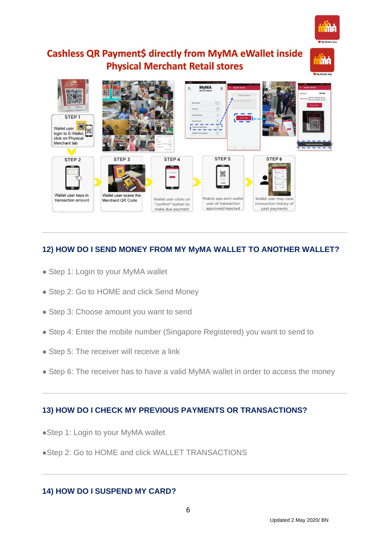

**i** ma

# **Cashless QR Payment\$ directly from MyMA eWallet inside Physical Merchant Retail stores**



# **12) HOW DO I SEND MONEY FROM MY MyMA WALLET TO ANOTHER WALLET?**

- Step 1: Login to your MyMA wallet
- Step 2: Go to HOME and click Send Money
- Step 3: Choose amount you want to send
- Step 4: Enter the mobile number (Singapore Registered) you want to send to
- Step 5: The receiver will receive a link
- Step 6: The receiver has to have a valid MyMA wallet in order to access the money

# **13) HOW DO I CHECK MY PREVIOUS PAYMENTS OR TRANSACTIONS?**

- ●Step 1: Login to your MyMA wallet
- ●Step 2: Go to HOME and click WALLET TRANSACTIONS

### **14) HOW DO I SUSPEND MY CARD?**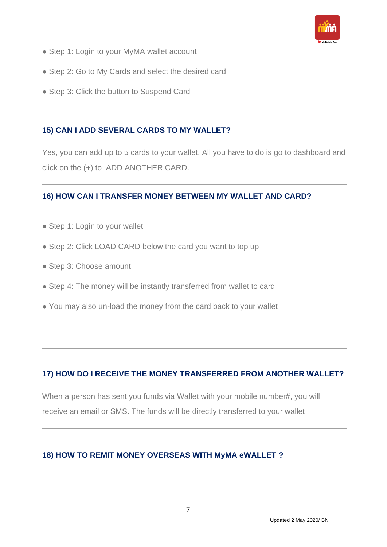

- Step 1: Login to your MyMA wallet account
- Step 2: Go to My Cards and select the desired card
- Step 3: Click the button to Suspend Card

### **15) CAN I ADD SEVERAL CARDS TO MY WALLET?**

Yes, you can add up to 5 cards to your wallet. All you have to do is go to dashboard and click on the (+) to ADD ANOTHER CARD.

### **16) HOW CAN I TRANSFER MONEY BETWEEN MY WALLET AND CARD?**

- Step 1: Login to your wallet
- Step 2: Click LOAD CARD below the card you want to top up
- Step 3: Choose amount
- Step 4: The money will be instantly transferred from wallet to card
- You may also un-load the money from the card back to your wallet

# **17) HOW DO I RECEIVE THE MONEY TRANSFERRED FROM ANOTHER WALLET?**

When a person has sent you funds via Wallet with your mobile number#, you will receive an email or SMS. The funds will be directly transferred to your wallet

### **18) HOW TO REMIT MONEY OVERSEAS WITH MyMA eWALLET ?**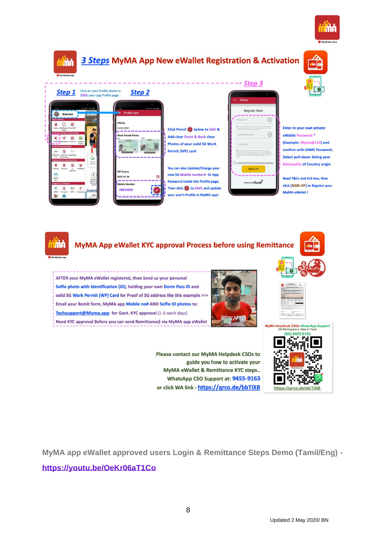



# 3 Steps MyMA App New eWallet Registration & Activation



| <b>Step 1</b>                                                              | Click on your Profile pl<br>[Edit] your app Profile |
|----------------------------------------------------------------------------|-----------------------------------------------------|
| 12:29                                                                      | 42 TSUM 3 100%                                      |
| <b>Shahidul</b>                                                            |                                                     |
| <b>Main Utilities</b><br>Home<br>Notification Free WiFi                    |                                                     |
| Alertal<br>Financial services and utilities                                |                                                     |
| eWallet Remittance Invoices<br>Food & Entertainment                        | Prepaid<br>Topup                                    |
| m<br>(Mandal)<br>spool.<br>Movies & Events & NaanStap<br>Attractions<br>ΥV |                                                     |
| <b>Training &amp; Communications</b>                                       | Top-Los<br>eWallet<br>٠                             |
| Training Forums<br>learning<br>iPi                                         | Feedback                                            |
| ASPR-<br>IPI<br><b>Support &amp; Transport</b>                             | <b>Maxistry</b><br>Manpow<br>(MOM)                  |
| <b>MAC</b><br>MOM<br>Transport MWC Emergency                               | Events &                                            |
| œ                                                                          | r.<br><b>MESTLI</b>                                 |

| r Profile photo to<br>app Profile page | Step 2                                                             |             |
|----------------------------------------|--------------------------------------------------------------------|-------------|
|                                        | <b>Profile view</b>                                                | 1.493%      |
|                                        | <b>FIN No</b><br>G2026398P<br><b>Work Permit Photo</b>             | <b>Tork</b> |
|                                        | <b>WP Expiry</b><br>2020-02-08<br><b>Mobile Number</b><br>98833883 | ö           |

Click Pencil & below to Edit & Add clear Front & Back clear Photos of your valid SG Work Permit (WP) card



| can also Update/Change your     |
|---------------------------------|
| <b>SG Mobile number# Or App</b> |
| word inside this Profile page,  |
| click to SAVE and update        |
| user's Profile in MyMA app!     |
|                                 |

| <b>Register Here</b>                                                                                                                                                                                                                                                                      |  |
|-------------------------------------------------------------------------------------------------------------------------------------------------------------------------------------------------------------------------------------------------------------------------------------------|--|
| Password *                                                                                                                                                                                                                                                                                |  |
| @ * Facework should have at least one outsider (2.0), and been<br>have to client and upper sales 19.21 letter, and operate character<br>1-52423/MYDA-TI and minimum benefit of A                                                                                                          |  |
| Confirm Pansword *                                                                                                                                                                                                                                                                        |  |
| Nationality.                                                                                                                                                                                                                                                                              |  |
| Chinanes and Robert Affair requires Waller, please after subject a<br>SASMED Face-to-Face buildings KVC frame a way around throat for<br>supercent before once MASA Walter can be activated. (Please last<br>the KFC physical figures Fort Florida Multit includes or Daim.<br>sensity of |  |
| LAgree With FlexM Terms and Conditions                                                                                                                                                                                                                                                    |  |
| <b>SIGN UP</b>                                                                                                                                                                                                                                                                            |  |
| Powered by FlexM                                                                                                                                                                                                                                                                          |  |

**Step 3** 

#### Enter in your own private eWallet Password (Example: Myma@123) and

confirm with SAME Password, Select pull-down listing your **Nationality of Country origin** 

Read T&Cs and tick box, then click [SIGN UP] to Register your MyMA eWallet !



### MyMA App eWallet KYC approval Process before using Remittance

AFTER your MyMA eWallet registered, then Send us your personal Selfie photo with Identification (ID), holding your own Dorm Pass ID and valid SG Work Permit (WP) Card for Proof of SG address like this example >>> Email your Remit form, MyMA app Mobile no# AND Selfie ID photos to: Techsupport@Myma.app for Govt. KYC approval (1-3 work days) Need KYC approval Before you can send Remittance\$ via MyMA app eWallet



Please contact our MyMA Helpdesk CSOs to guide you how to activate your MyMA eWallet & Remittance KYC steps.. WhatsApp CSO Support at: 9455-9163 or click WA link - https://grco.de/bbTiXB





**MyMA app eWallet approved users Login & Remittance Steps Demo (Tamil/Eng) -**

**<https://youtu.be/OeKr06aT1Co>**